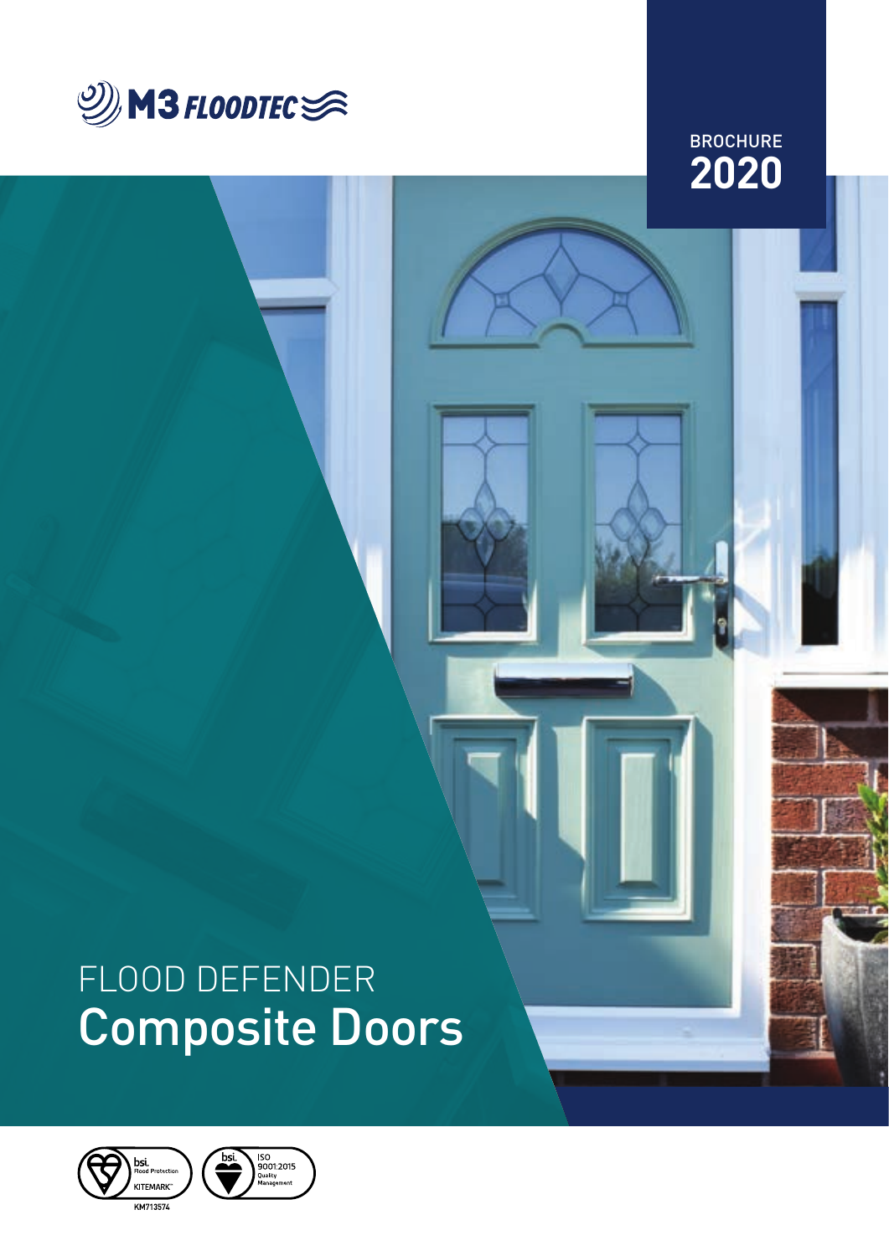

**2020 BROCHURE** 

# FLOOD DEFENDER Composite Doors

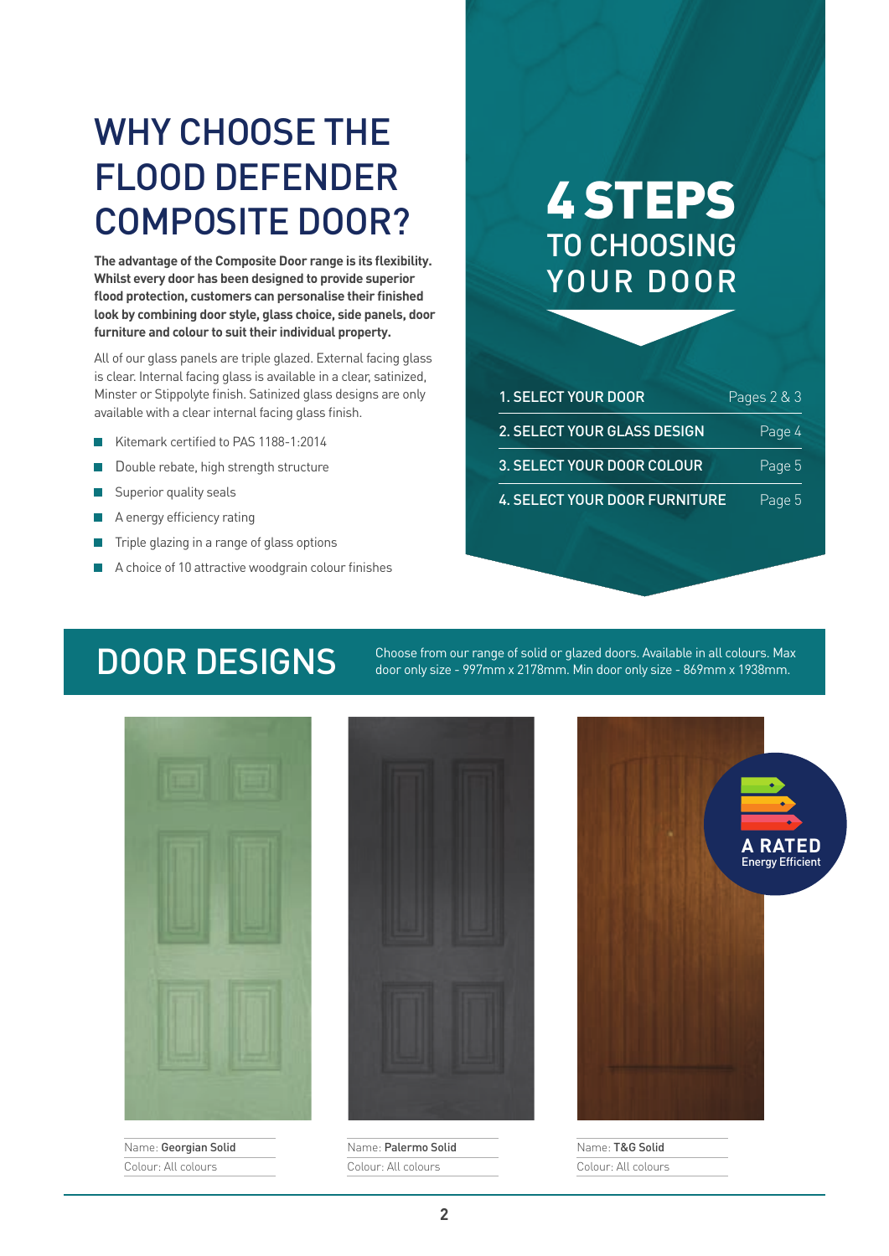## WHY CHOOSE THE FLOOD DEFENDER COMPOSITE DOOR?

**The advantage of the Composite Door range is its flexibility. Whilst every door has been designed to provide superior flood protection, customers can personalise their finished look by combining door style, glass choice, side panels, door furniture and colour to suit their individual property.**

All of our glass panels are triple glazed. External facing glass is clear. Internal facing glass is available in a clear, satinized, Minster or Stippolyte finish. Satinized glass designs are only available with a clear internal facing glass finish.

- Kitemark certified to PAS 1188-1:2014
- Double rebate, high strength structure
- Superior quality seals
- A energy efficiency rating
- Triple glazing in a range of glass options
- A choice of 10 attractive woodgrain colour finishes

### 4 STEPS TO CHOOSING YOUR DOOR

| <b>1. SELECT YOUR DOOR</b>           | Pages 2 & 3 |
|--------------------------------------|-------------|
| 2. SELECT YOUR GLASS DESIGN          | Page 4      |
| 3. SELECT YOUR DOOR COLOUR           | Page 5      |
| <b>4. SELECT YOUR DOOR FURNITURE</b> | Page 5      |

DOOR DESIGNS Choose from our range of solid or glazed doors. Available in all colours. Max door only size - 997mm x 2178mm. Min door only size - 869mm x 1938mm.



Name: Georgian Solid Colour: All colours



Name: Palermo Solid Colour: All colours



Name: T&G Solid Colour: All colours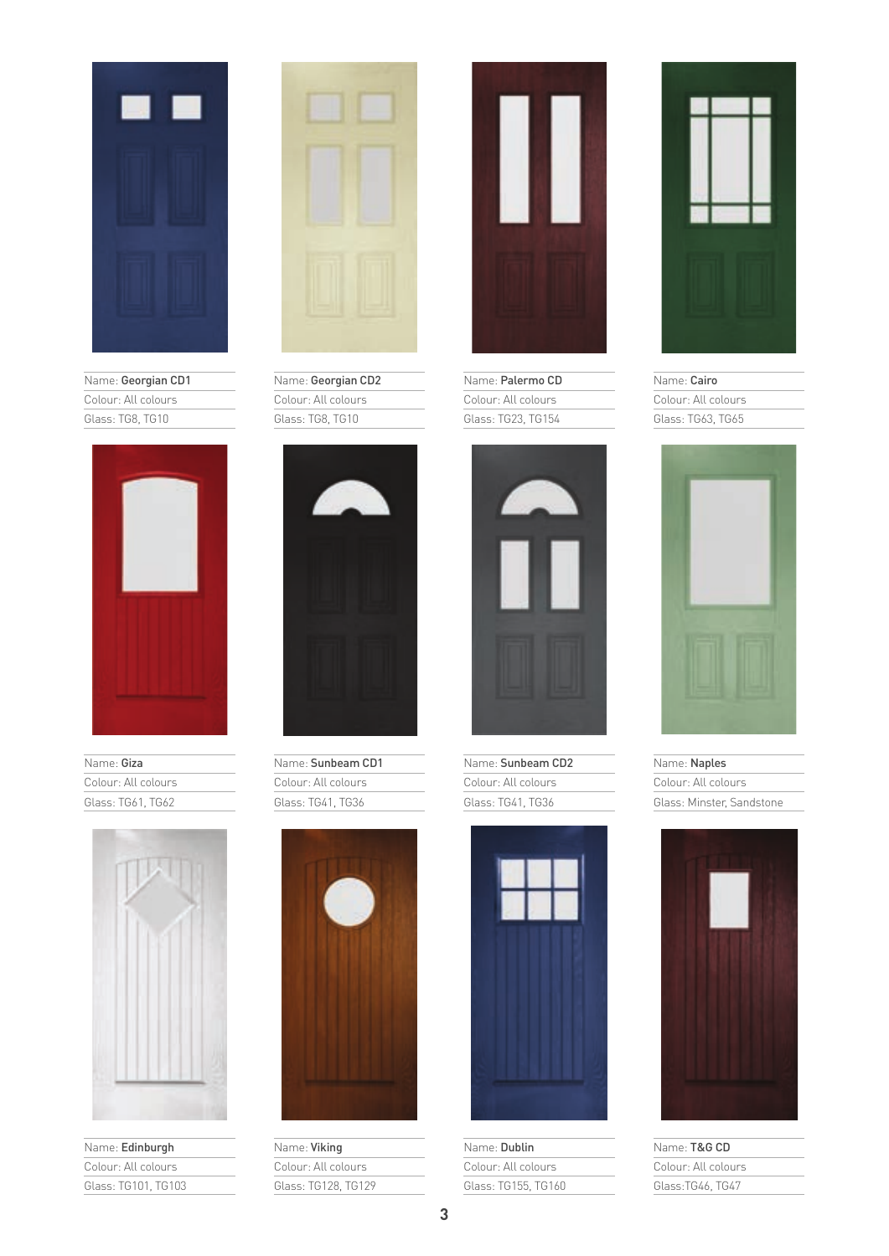

Name: Georgian CD1 Colour: All colours Glass: TG8, TG10



Name: Giza Colour: All colours Glass: TG61, TG62



Name: Edinburgh Colour: All colours Glass: TG101, TG103



Name: Georgian CD2 Colour: All colours Glass: TG8, TG10



Name: Sunbeam CD1 Colour: All colours Glass: TG41, TG36



Name: Viking Colour: All colours Glass: TG128, TG129



Name: Palermo CD Colour: All colours Glass: TG23, TG154



Name: Sunbeam CD2 Colour: All colours Glass: TG41, TG36



Name: Dublin Colour: All colours Glass: TG155, TG160



Name: Cairo Colour: All colours Glass: TG63, TG65



Name: Naples

Colour: All colours Glass: Minster, Sandstone



Name: T&G CD Colour: All colours Glass:TG46, TG47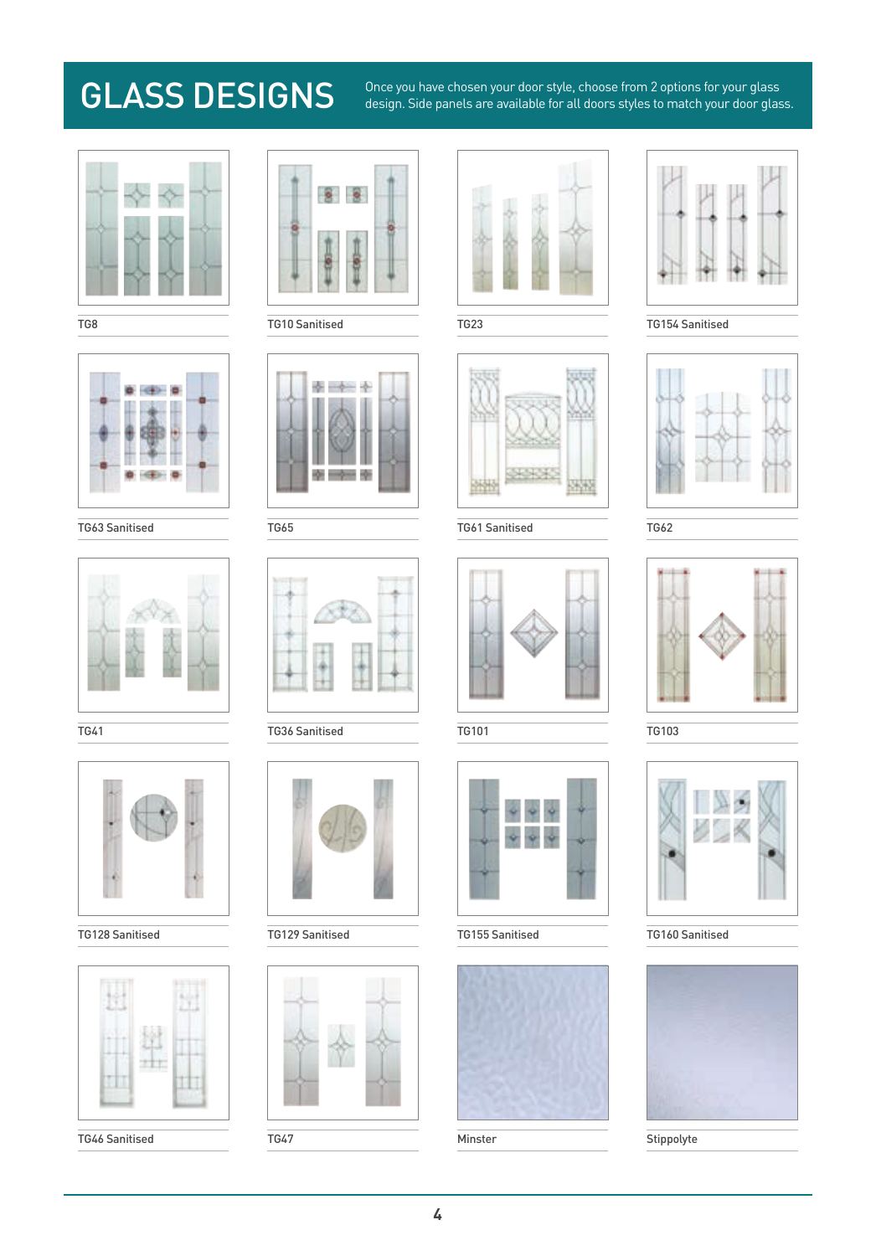GLASS DESIGNS <sup>Once you have chosen your door style, choose from 2 options for your glass<br>design. Side panels are available for all doors styles to match your door glass.</sup>











TG46 Sanitised TG47 Minster Stippolyte



TG8 TG10 Sanitised TG23 TG154 Sanitised





TG41 TG36 Sanitised TG101 TG101 TG103



TG128 Sanitised TG129 Sanitised TG155 Sanitised TG160 Sanitised









TG63 Sanitised TG65 TG61 Sanitised TG62

















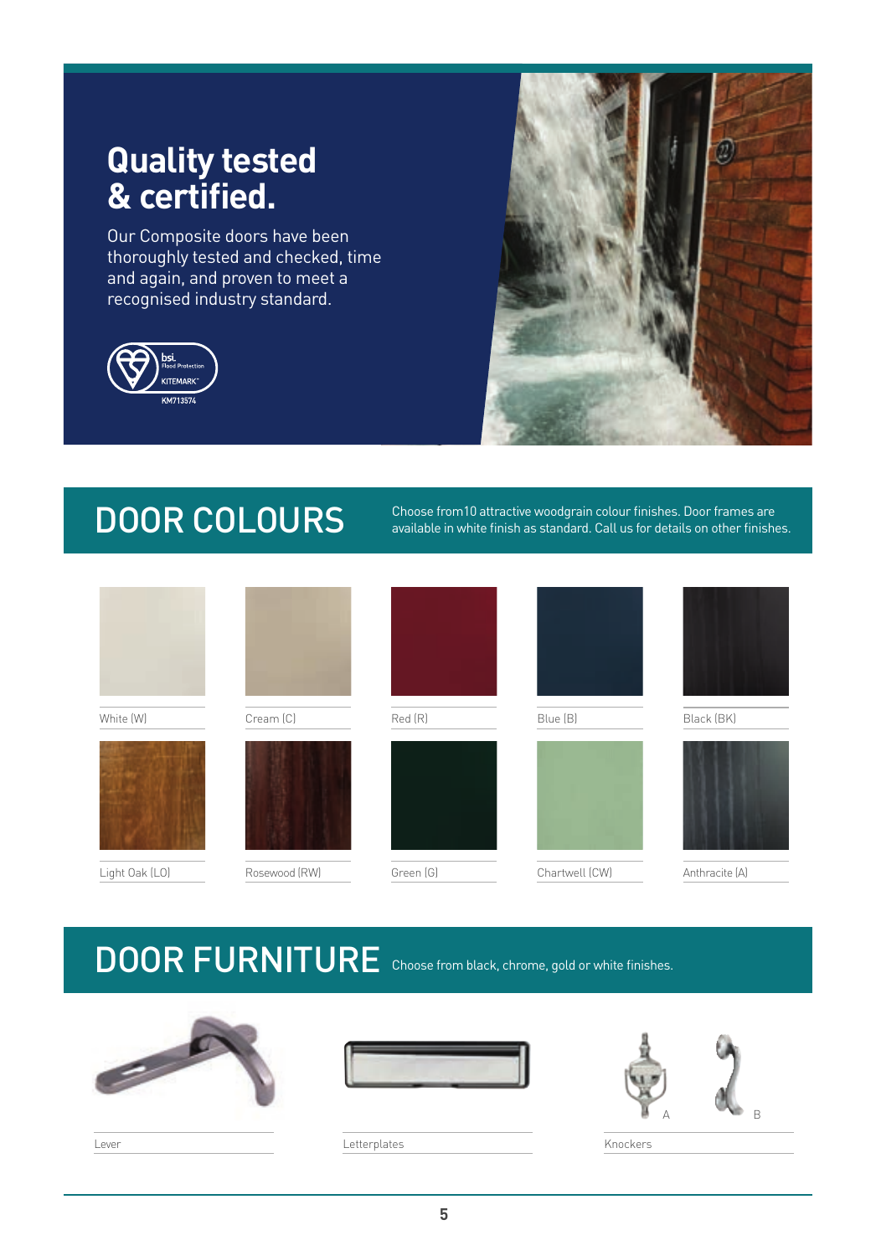### **Quality tested & certified.**

Our Composite doors have been thoroughly tested and checked, time and again, and proven to meet a recognised industry standard.





DOOR COLOURS Choose from 10 attractive woodgrain colour finishes. Door frames are<br>available in white finish as standard. Call us for details on other finishe available in white finish as standard. Call us for details on other finishes.

| White (W)      | Cream (C)     | Red (R)   | Blue (B)       | Black (BK)     |
|----------------|---------------|-----------|----------------|----------------|
| Light Oak (LO) | Rosewood (RW) | Green (G) | Chartwell (CW) | Anthracite (A) |

### DOOR FURNITURE Choose from black, chrome, gold or white finishes.







Letterplates **Letterplates** Knockers